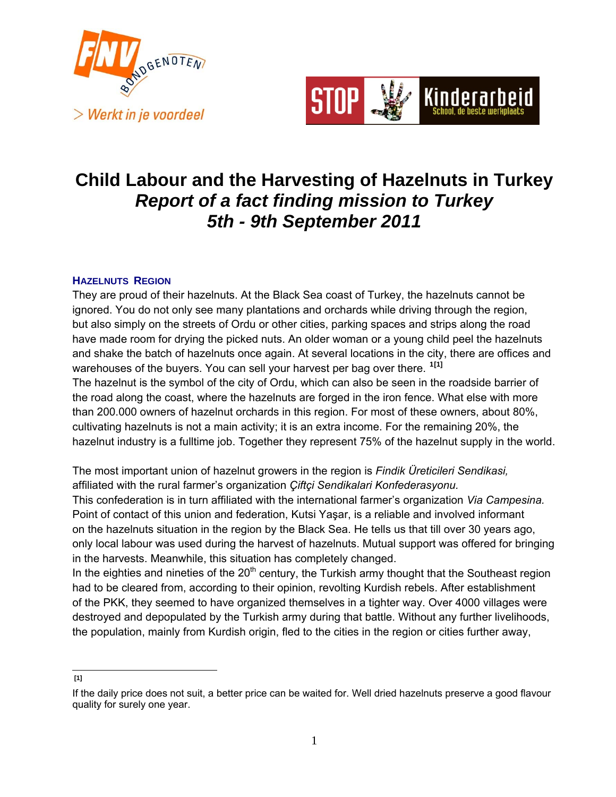



# **Child Labour and the Harvesting of Hazelnuts in Turkey**  *Report of a fact finding mission to Turkey 5th - 9th September 2011*

## **HAZELNUTS REGION**

They are proud of their hazelnuts. At the Black Sea coast of Turkey, the hazelnuts cannot be ignored. You do not only see many plantations and orchards while driving through the region, but also simply on the streets of Ordu or other cities, parking spaces and strips along the road have made room for drying the picked nuts. An older woman or a young child peel the hazelnuts and shake the batch of hazelnuts once again. At several locations in the city, there are offices and warehouses of the buyers. You can sell your harvest per bag over there. **[1](#page-0-0)[1]** The hazelnut is the symbol of the city of Ordu, which can also be seen in the roadside barrier of the road along the coast, where the hazelnuts are forged in the iron fence. What else with more than 200.000 owners of hazelnut orchards in this region. For most of these owners, about 80%, cultivating hazelnuts is not a main activity; it is an extra income. For the remaining 20%, the hazelnut industry is a fulltime job. Together they represent 75% of the hazelnut supply in the world.

The most important union of hazelnut growers in the region is *Findik Üreticileri Sendikasi,* affiliated with the rural farmer's organization *Çiftçi Sendikalari Konfederasyonu.*

This confederation is in turn affiliated with the international farmer's organization *Via Campesina.*  Point of contact of this union and federation, Kutsi Yaşar, is a reliable and involved informant on the hazelnuts situation in the region by the Black Sea. He tells us that till over 30 years ago, only local labour was used during the harvest of hazelnuts. Mutual support was offered for bringing in the harvests. Meanwhile, this situation has completely changed.

In the eighties and nineties of the  $20<sup>th</sup>$  century, the Turkish army thought that the Southeast region had to be cleared from, according to their opinion, revolting Kurdish rebels. After establishment of the PKK, they seemed to have organized themselves in a tighter way. Over 4000 villages were destroyed and depopulated by the Turkish army during that battle. Without any further livelihoods, the population, mainly from Kurdish origin, fled to the cities in the region or cities further away,

 **[1]**

<span id="page-0-0"></span>If the daily price does not suit, a better price can be waited for. Well dried hazelnuts preserve a good flavour quality for surely one year.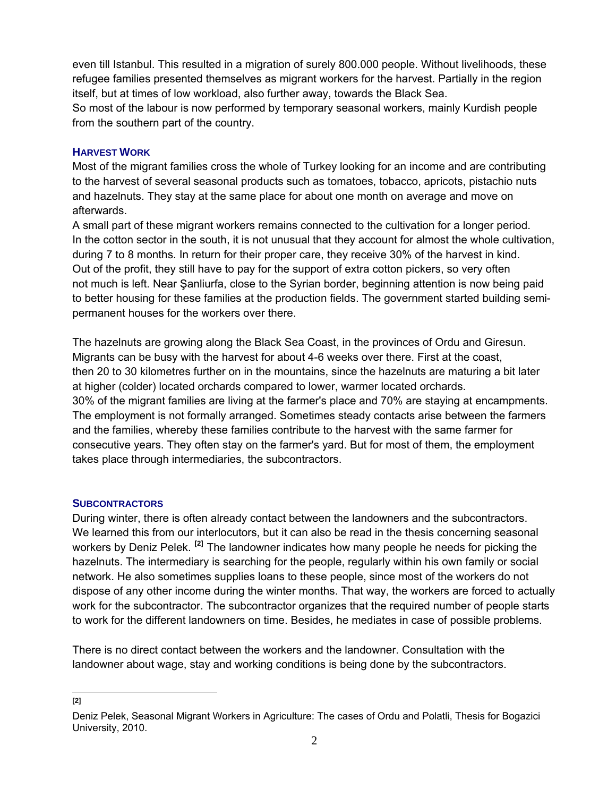even till Istanbul. This resulted in a migration of surely 800.000 people. Without livelihoods, these refugee families presented themselves as migrant workers for the harvest. Partially in the region itself, but at times of low workload, also further away, towards the Black Sea.

So most of the labour is now performed by temporary seasonal workers, mainly Kurdish people from the southern part of the country.

### **HARVEST WORK**

Most of the migrant families cross the whole of Turkey looking for an income and are contributing to the harvest of several seasonal products such as tomatoes, tobacco, apricots, pistachio nuts and hazelnuts. They stay at the same place for about one month on average and move on afterwards.

A small part of these migrant workers remains connected to the cultivation for a longer period. In the cotton sector in the south, it is not unusual that they account for almost the whole cultivation, during 7 to 8 months. In return for their proper care, they receive 30% of the harvest in kind. Out of the profit, they still have to pay for the support of extra cotton pickers, so very often not much is left. Near Şanliurfa, close to the Syrian border, beginning attention is now being paid to better housing for these families at the production fields. The government started building semipermanent houses for the workers over there.

The hazelnuts are growing along the Black Sea Coast, in the provinces of Ordu and Giresun. Migrants can be busy with the harvest for about 4-6 weeks over there. First at the coast, then 20 to 30 kilometres further on in the mountains, since the hazelnuts are maturing a bit later at higher (colder) located orchards compared to lower, warmer located orchards. 30% of the migrant families are living at the farmer's place and 70% are staying at encampments. The employment is not formally arranged. Sometimes steady contacts arise between the farmers and the families, whereby these families contribute to the harvest with the same farmer for consecutive years. They often stay on the farmer's yard. But for most of them, the employment takes place through intermediaries, the subcontractors.

## **SUBCONTRACTORS**

During winter, there is often already contact between the landowners and the subcontractors. We learned this from our interlocutors, but it can also be read in the thesis concerning seasonal workers by Deniz Pelek. **[\[2\]](#page-1-0)** The landowner indicates how many people he needs for picking the hazelnuts. The intermediary is searching for the people, regularly within his own family or social network. He also sometimes supplies loans to these people, since most of the workers do not dispose of any other income during the winter months. That way, the workers are forced to actually work for the subcontractor. The subcontractor organizes that the required number of people starts to work for the different landowners on time. Besides, he mediates in case of possible problems.

There is no direct contact between the workers and the landowner. Consultation with the landowner about wage, stay and working conditions is being done by the subcontractors.

1 **[2]**

<span id="page-1-0"></span>Deniz Pelek, Seasonal Migrant Workers in Agriculture: The cases of Ordu and Polatli, Thesis for Bogazici University, 2010.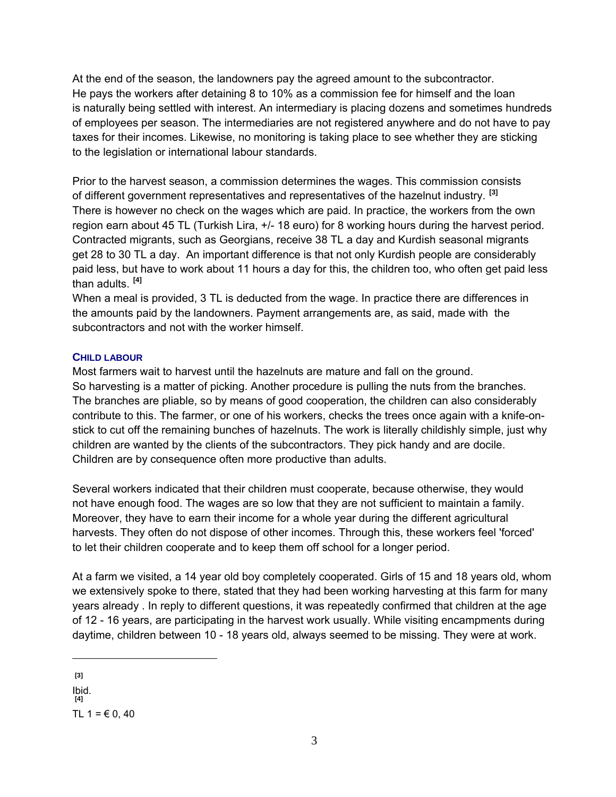At the end of the season, the landowners pay the agreed amount to the subcontractor. He pays the workers after detaining 8 to 10% as a commission fee for himself and the loan is naturally being settled with interest. An intermediary is placing dozens and sometimes hundreds of employees per season. The intermediaries are not registered anywhere and do not have to pay taxes for their incomes. Likewise, no monitoring is taking place to see whether they are sticking to the legislation or international labour standards.

Prior to the harvest season, a commission determines the wages. This commission consists of different government representatives and representatives of the hazelnut industry. **[\[3\]](#page-2-0)** There is however no check on the wages which are paid. In practice, the workers from the own region earn about 45 TL (Turkish Lira, +/- 18 euro) for 8 working hours during the harvest period. Contracted migrants, such as Georgians, receive 38 TL a day and Kurdish seasonal migrants get 28 to 30 TL a day. An important difference is that not only Kurdish people are considerably paid less, but have to work about 11 hours a day for this, the children too, who often get paid less than adults. **[\[4\]](#page-2-1)** 

When a meal is provided, 3 TL is deducted from the wage. In practice there are differences in the amounts paid by the landowners. Payment arrangements are, as said, made with the subcontractors and not with the worker himself.

## **CHILD LABOUR**

Most farmers wait to harvest until the hazelnuts are mature and fall on the ground. So harvesting is a matter of picking. Another procedure is pulling the nuts from the branches. The branches are pliable, so by means of good cooperation, the children can also considerably contribute to this. The farmer, or one of his workers, checks the trees once again with a knife-onstick to cut off the remaining bunches of hazelnuts. The work is literally childishly simple, just why children are wanted by the clients of the subcontractors. They pick handy and are docile. Children are by consequence often more productive than adults.

Several workers indicated that their children must cooperate, because otherwise, they would not have enough food. The wages are so low that they are not sufficient to maintain a family. Moreover, they have to earn their income for a whole year during the different agricultural harvests. They often do not dispose of other incomes. Through this, these workers feel 'forced' to let their children cooperate and to keep them off school for a longer period.

At a farm we visited, a 14 year old boy completely cooperated. Girls of 15 and 18 years old, whom we extensively spoke to there, stated that they had been working harvesting at this farm for many years already . In reply to different questions, it was repeatedly confirmed that children at the age of 12 - 16 years, are participating in the harvest work usually. While visiting encampments during daytime, children between 10 - 18 years old, always seemed to be missing. They were at work.

# <span id="page-2-0"></span>**[3]**

1

<span id="page-2-1"></span>Ibid. **[4]**

TL  $1 = €0, 40$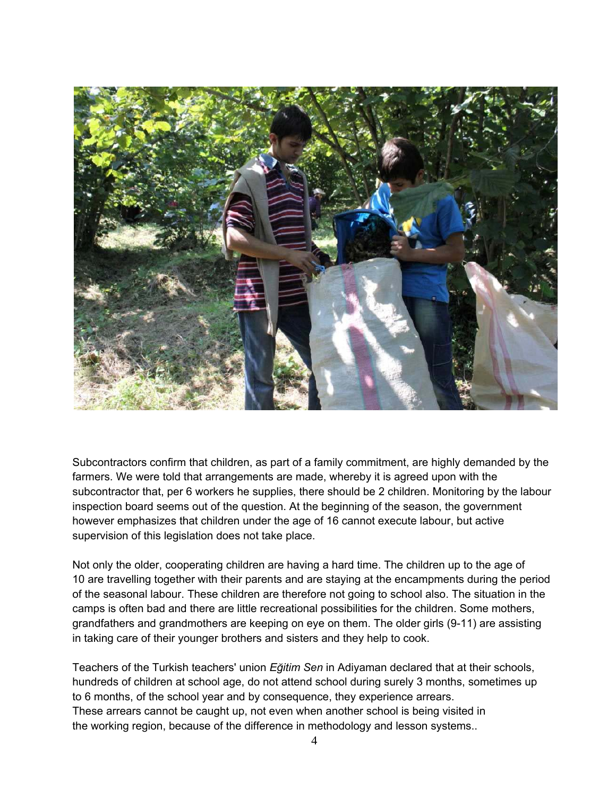

Subcontractors confirm that children, as part of a family commitment, are highly demanded by the farmers. We were told that arrangements are made, whereby it is agreed upon with the subcontractor that, per 6 workers he supplies, there should be 2 children. Monitoring by the labour inspection board seems out of the question. At the beginning of the season, the government however emphasizes that children under the age of 16 cannot execute labour, but active supervision of this legislation does not take place.

Not only the older, cooperating children are having a hard time. The children up to the age of 10 are travelling together with their parents and are staying at the encampments during the period of the seasonal labour. These children are therefore not going to school also. The situation in the camps is often bad and there are little recreational possibilities for the children. Some mothers, grandfathers and grandmothers are keeping on eye on them. The older girls (9-11) are assisting in taking care of their younger brothers and sisters and they help to cook.

Teachers of the Turkish teachers' union *Eğitim Sen* in Adiyaman declared that at their schools, hundreds of children at school age, do not attend school during surely 3 months, sometimes up to 6 months, of the school year and by consequence, they experience arrears. These arrears cannot be caught up, not even when another school is being visited in the working region, because of the difference in methodology and lesson systems..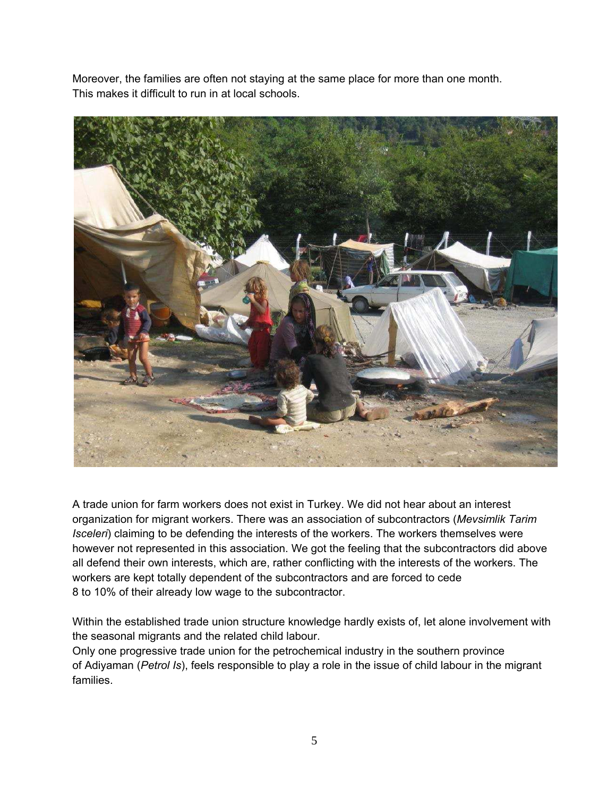Moreover, the families are often not staying at the same place for more than one month. This makes it difficult to run in at local schools.

![](_page_4_Picture_1.jpeg)

A trade union for farm workers does not exist in Turkey. We did not hear about an interest organization for migrant workers. There was an association of subcontractors (*Mevsimlik Tarim Isceleri*) claiming to be defending the interests of the workers. The workers themselves were however not represented in this association. We got the feeling that the subcontractors did above all defend their own interests, which are, rather conflicting with the interests of the workers. The workers are kept totally dependent of the subcontractors and are forced to cede 8 to 10% of their already low wage to the subcontractor.

Within the established trade union structure knowledge hardly exists of, let alone involvement with the seasonal migrants and the related child labour.

Only one progressive trade union for the petrochemical industry in the southern province of Adiyaman (*Petrol Is*), feels responsible to play a role in the issue of child labour in the migrant families.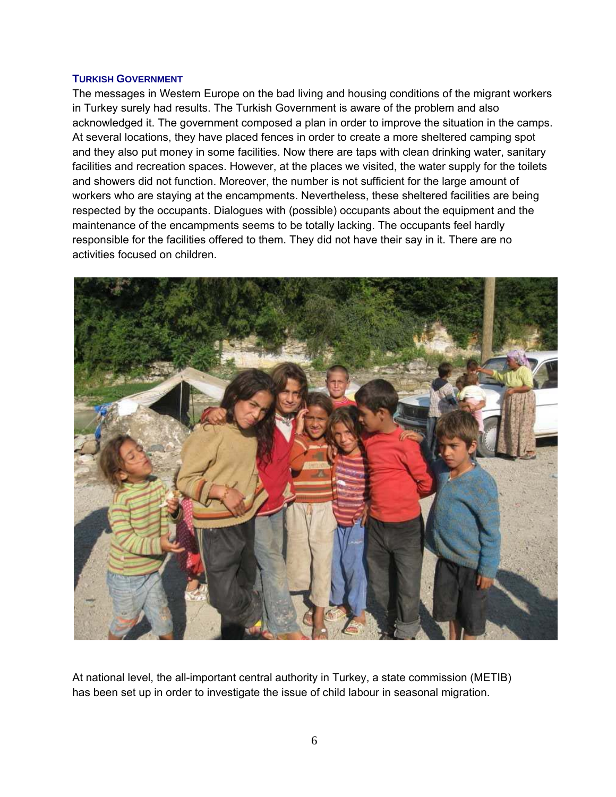#### **TURKISH GOVERNMENT**

The messages in Western Europe on the bad living and housing conditions of the migrant workers in Turkey surely had results. The Turkish Government is aware of the problem and also acknowledged it. The government composed a plan in order to improve the situation in the camps. At several locations, they have placed fences in order to create a more sheltered camping spot and they also put money in some facilities. Now there are taps with clean drinking water, sanitary facilities and recreation spaces. However, at the places we visited, the water supply for the toilets and showers did not function. Moreover, the number is not sufficient for the large amount of workers who are staying at the encampments. Nevertheless, these sheltered facilities are being respected by the occupants. Dialogues with (possible) occupants about the equipment and the maintenance of the encampments seems to be totally lacking. The occupants feel hardly responsible for the facilities offered to them. They did not have their say in it. There are no activities focused on children.

![](_page_5_Picture_2.jpeg)

At national level, the all-important central authority in Turkey, a state commission (METIB) has been set up in order to investigate the issue of child labour in seasonal migration.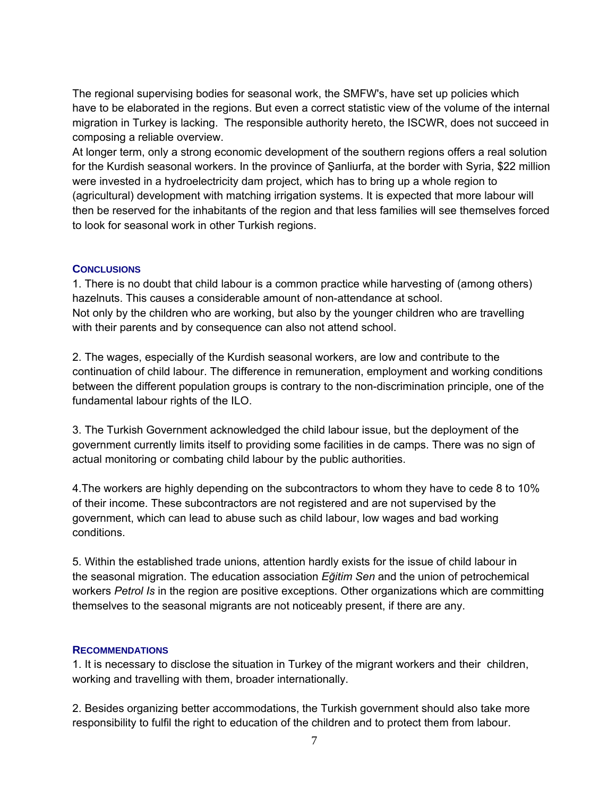The regional supervising bodies for seasonal work, the SMFW's, have set up policies which have to be elaborated in the regions. But even a correct statistic view of the volume of the internal migration in Turkey is lacking. The responsible authority hereto, the ISCWR, does not succeed in composing a reliable overview.

At longer term, only a strong economic development of the southern regions offers a real solution for the Kurdish seasonal workers. In the province of Şanliurfa, at the border with Syria, \$22 million were invested in a hydroelectricity dam project, which has to bring up a whole region to (agricultural) development with matching irrigation systems. It is expected that more labour will then be reserved for the inhabitants of the region and that less families will see themselves forced to look for seasonal work in other Turkish regions.

## **CONCLUSIONS**

1. There is no doubt that child labour is a common practice while harvesting of (among others) hazelnuts. This causes a considerable amount of non-attendance at school. Not only by the children who are working, but also by the younger children who are travelling with their parents and by consequence can also not attend school.

2. The wages, especially of the Kurdish seasonal workers, are low and contribute to the continuation of child labour. The difference in remuneration, employment and working conditions between the different population groups is contrary to the non-discrimination principle, one of the fundamental labour rights of the ILO.

3. The Turkish Government acknowledged the child labour issue, but the deployment of the government currently limits itself to providing some facilities in de camps. There was no sign of actual monitoring or combating child labour by the public authorities.

4.The workers are highly depending on the subcontractors to whom they have to cede 8 to 10% of their income. These subcontractors are not registered and are not supervised by the government, which can lead to abuse such as child labour, low wages and bad working conditions.

5. Within the established trade unions, attention hardly exists for the issue of child labour in the seasonal migration. The education association *Eğitim Sen* and the union of petrochemical workers *Petrol Is* in the region are positive exceptions. Other organizations which are committing themselves to the seasonal migrants are not noticeably present, if there are any.

#### **RECOMMENDATIONS**

1. It is necessary to disclose the situation in Turkey of the migrant workers and their children, working and travelling with them, broader internationally.

2. Besides organizing better accommodations, the Turkish government should also take more responsibility to fulfil the right to education of the children and to protect them from labour.